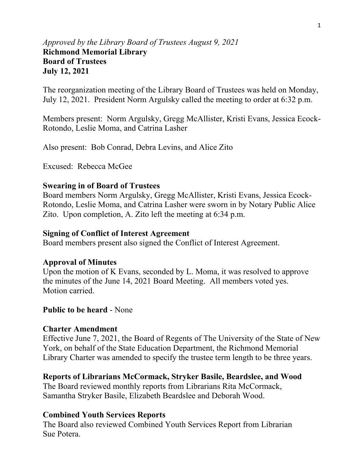## *Approved by the Library Board of Trustees August 9, 2021* **Richmond Memorial Library Board of Trustees July 12, 2021**

The reorganization meeting of the Library Board of Trustees was held on Monday, July 12, 2021. President Norm Argulsky called the meeting to order at 6:32 p.m.

Members present: Norm Argulsky, Gregg McAllister, Kristi Evans, Jessica Ecock-Rotondo, Leslie Moma, and Catrina Lasher

Also present: Bob Conrad, Debra Levins, and Alice Zito

Excused: Rebecca McGee

## **Swearing in of Board of Trustees**

Board members Norm Argulsky, Gregg McAllister, Kristi Evans, Jessica Ecock-Rotondo, Leslie Moma, and Catrina Lasher were sworn in by Notary Public Alice Zito. Upon completion, A. Zito left the meeting at 6:34 p.m.

### **Signing of Conflict of Interest Agreement**

Board members present also signed the Conflict of Interest Agreement.

## **Approval of Minutes**

Upon the motion of K Evans, seconded by L. Moma, it was resolved to approve the minutes of the June 14, 2021 Board Meeting. All members voted yes. Motion carried.

## **Public to be heard** - None

### **Charter Amendment**

Effective June 7, 2021, the Board of Regents of The University of the State of New York, on behalf of the State Education Department, the Richmond Memorial Library Charter was amended to specify the trustee term length to be three years.

## **Reports of Librarians McCormack, Stryker Basile, Beardslee, and Wood**

The Board reviewed monthly reports from Librarians Rita McCormack, Samantha Stryker Basile, Elizabeth Beardslee and Deborah Wood.

## **Combined Youth Services Reports**

The Board also reviewed Combined Youth Services Report from Librarian Sue Potera.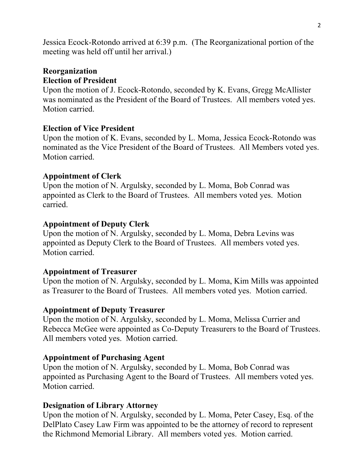Jessica Ecock-Rotondo arrived at 6:39 p.m. (The Reorganizational portion of the meeting was held off until her arrival.)

# **Reorganization Election of President**

Upon the motion of J. Ecock-Rotondo, seconded by K. Evans, Gregg McAllister was nominated as the President of the Board of Trustees. All members voted yes. Motion carried.

# **Election of Vice President**

Upon the motion of K. Evans, seconded by L. Moma, Jessica Ecock-Rotondo was nominated as the Vice President of the Board of Trustees. All Members voted yes. Motion carried.

# **Appointment of Clerk**

Upon the motion of N. Argulsky, seconded by L. Moma, Bob Conrad was appointed as Clerk to the Board of Trustees. All members voted yes. Motion carried.

# **Appointment of Deputy Clerk**

Upon the motion of N. Argulsky, seconded by L. Moma, Debra Levins was appointed as Deputy Clerk to the Board of Trustees. All members voted yes. Motion carried.

# **Appointment of Treasurer**

Upon the motion of N. Argulsky, seconded by L. Moma, Kim Mills was appointed as Treasurer to the Board of Trustees. All members voted yes. Motion carried.

## **Appointment of Deputy Treasurer**

Upon the motion of N. Argulsky, seconded by L. Moma, Melissa Currier and Rebecca McGee were appointed as Co-Deputy Treasurers to the Board of Trustees. All members voted yes. Motion carried.

## **Appointment of Purchasing Agent**

Upon the motion of N. Argulsky, seconded by L. Moma, Bob Conrad was appointed as Purchasing Agent to the Board of Trustees. All members voted yes. Motion carried.

## **Designation of Library Attorney**

Upon the motion of N. Argulsky, seconded by L. Moma, Peter Casey, Esq. of the DelPlato Casey Law Firm was appointed to be the attorney of record to represent the Richmond Memorial Library. All members voted yes. Motion carried.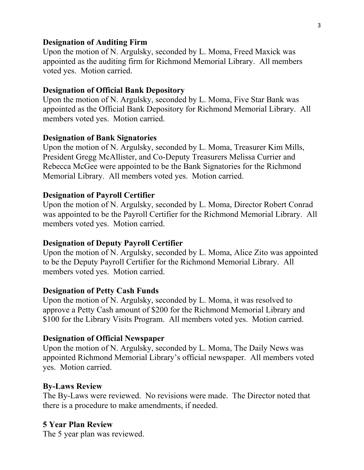### **Designation of Auditing Firm**

Upon the motion of N. Argulsky, seconded by L. Moma, Freed Maxick was appointed as the auditing firm for Richmond Memorial Library. All members voted yes. Motion carried.

### **Designation of Official Bank Depository**

Upon the motion of N. Argulsky, seconded by L. Moma, Five Star Bank was appointed as the Official Bank Depository for Richmond Memorial Library. All members voted yes. Motion carried.

### **Designation of Bank Signatories**

Upon the motion of N. Argulsky, seconded by L. Moma, Treasurer Kim Mills, President Gregg McAllister, and Co-Deputy Treasurers Melissa Currier and Rebecca McGee were appointed to be the Bank Signatories for the Richmond Memorial Library. All members voted yes. Motion carried.

#### **Designation of Payroll Certifier**

Upon the motion of N. Argulsky, seconded by L. Moma, Director Robert Conrad was appointed to be the Payroll Certifier for the Richmond Memorial Library. All members voted yes. Motion carried.

#### **Designation of Deputy Payroll Certifier**

Upon the motion of N. Argulsky, seconded by L. Moma, Alice Zito was appointed to be the Deputy Payroll Certifier for the Richmond Memorial Library. All members voted yes. Motion carried.

#### **Designation of Petty Cash Funds**

Upon the motion of N. Argulsky, seconded by L. Moma, it was resolved to approve a Petty Cash amount of \$200 for the Richmond Memorial Library and \$100 for the Library Visits Program. All members voted yes. Motion carried.

#### **Designation of Official Newspaper**

Upon the motion of N. Argulsky, seconded by L. Moma, The Daily News was appointed Richmond Memorial Library's official newspaper. All members voted yes. Motion carried.

#### **By-Laws Review**

The By-Laws were reviewed. No revisions were made. The Director noted that there is a procedure to make amendments, if needed.

### **5 Year Plan Review**

The 5 year plan was reviewed.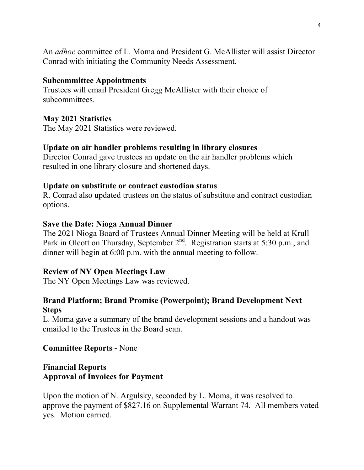An *adhoc* committee of L. Moma and President G. McAllister will assist Director Conrad with initiating the Community Needs Assessment.

### **Subcommittee Appointments**

Trustees will email President Gregg McAllister with their choice of subcommittees.

### **May 2021 Statistics**

The May 2021 Statistics were reviewed.

### **Update on air handler problems resulting in library closures**

Director Conrad gave trustees an update on the air handler problems which resulted in one library closure and shortened days.

### **Update on substitute or contract custodian status**

R. Conrad also updated trustees on the status of substitute and contract custodian options.

### **Save the Date: Nioga Annual Dinner**

The 2021 Nioga Board of Trustees Annual Dinner Meeting will be held at Krull Park in Olcott on Thursday, September  $2^{nd}$ . Registration starts at 5:30 p.m., and dinner will begin at 6:00 p.m. with the annual meeting to follow.

## **Review of NY Open Meetings Law**

The NY Open Meetings Law was reviewed.

## **Brand Platform; Brand Promise (Powerpoint); Brand Development Next Steps**

L. Moma gave a summary of the brand development sessions and a handout was emailed to the Trustees in the Board scan.

### **Committee Reports -** None

## **Financial Reports Approval of Invoices for Payment**

Upon the motion of N. Argulsky, seconded by L. Moma, it was resolved to approve the payment of \$827.16 on Supplemental Warrant 74. All members voted yes. Motion carried.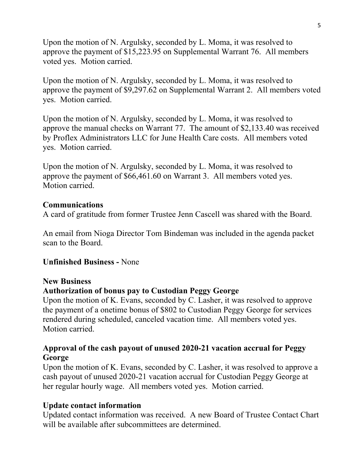Upon the motion of N. Argulsky, seconded by L. Moma, it was resolved to approve the payment of \$15,223.95 on Supplemental Warrant 76. All members voted yes. Motion carried.

Upon the motion of N. Argulsky, seconded by L. Moma, it was resolved to approve the payment of \$9,297.62 on Supplemental Warrant 2. All members voted yes. Motion carried.

Upon the motion of N. Argulsky, seconded by L. Moma, it was resolved to approve the manual checks on Warrant 77. The amount of \$2,133.40 was received by Proflex Administrators LLC for June Health Care costs. All members voted yes. Motion carried.

Upon the motion of N. Argulsky, seconded by L. Moma, it was resolved to approve the payment of \$66,461.60 on Warrant 3. All members voted yes. Motion carried.

## **Communications**

A card of gratitude from former Trustee Jenn Cascell was shared with the Board.

An email from Nioga Director Tom Bindeman was included in the agenda packet scan to the Board.

## **Unfinished Business -** None

### **New Business**

### **Authorization of bonus pay to Custodian Peggy George**

Upon the motion of K. Evans, seconded by C. Lasher, it was resolved to approve the payment of a onetime bonus of \$802 to Custodian Peggy George for services rendered during scheduled, canceled vacation time. All members voted yes. Motion carried.

## **Approval of the cash payout of unused 2020-21 vacation accrual for Peggy George**

Upon the motion of K. Evans, seconded by C. Lasher, it was resolved to approve a cash payout of unused 2020-21 vacation accrual for Custodian Peggy George at her regular hourly wage. All members voted yes. Motion carried.

## **Update contact information**

Updated contact information was received. A new Board of Trustee Contact Chart will be available after subcommittees are determined.